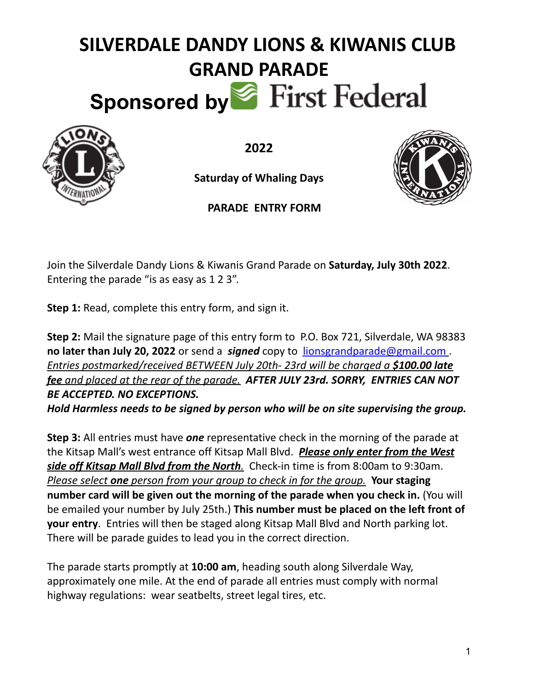## **SILVERDALE DANDY LIONS & KIWANIS CLUB GRAND PARADE** Sponsored by First Federal



**2022**

**Saturday of Whaling Days**



**PARADE ENTRY FORM**

Join the Silverdale Dandy Lions & Kiwanis Grand Parade on **Saturday, July 30th 2022**. Entering the parade "is as easy as 1 2 3".

**Step 1:** Read, complete this entry form, and sign it.

**Step 2:** Mail the signature page of this entry form to P.O. Box 721, Silverdale, WA 98383 **no later than July 20, 2022** or send a *signed* copy to [lionsgrandparade@gmail.com](mailto:lionsgrandparade@gmail.com) . *Entries postmarked/received BETWEEN July 20th- 23rd will be charged a \$100.00 late fee and placed at the rear of the parade. AFTER JULY 23rd. SORRY, ENTRIES CAN NOT BE ACCEPTED. NO EXCEPTIONS.*

*Hold Harmless needs to be signed by person who will be on site supervising the group.*

**Step 3:** All entries must have *one* representative check in the morning of the parade at the Kitsap Mall's west entrance off Kitsap Mall Blvd. *Please only enter from the West side off Kitsap Mall Blvd from the North.* Check-in time is from 8:00am to 9:30am. *Please select one person from your group to check in for the group.* **Your staging number card will be given out the morning of the parade when you check in.** (You will be emailed your number by July 25th.) **This number must be placed on the left front of your entry**. Entries will then be staged along Kitsap Mall Blvd and North parking lot. There will be parade guides to lead you in the correct direction.

The parade starts promptly at **10:00 am**, heading south along Silverdale Way, approximately one mile. At the end of parade all entries must comply with normal highway regulations: wear seatbelts, street legal tires, etc.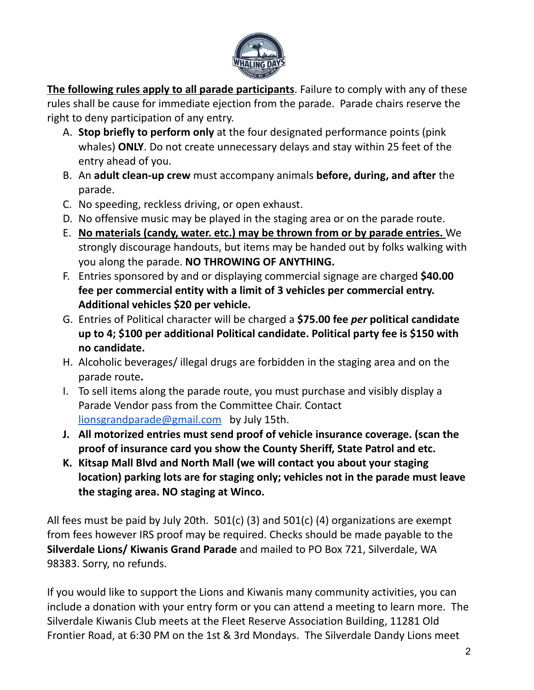

**The following rules apply to all parade participants**. Failure to comply with any of these rules shall be cause for immediate ejection from the parade. Parade chairs reserve the right to deny participation of any entry.

- A. **Stop briefly to perform only** at the four designated performance points (pink whales) **ONLY**. Do not create unnecessary delays and stay within 25 feet of the entry ahead of you.
- B. An **adult clean-up crew** must accompany animals **before, during, and after** the parade.
- C. No speeding, reckless driving, or open exhaust.
- D. No offensive music may be played in the staging area or on the parade route.
- E. **No materials (candy, water. etc.) may be thrown from or by parade entries.** We strongly discourage handouts, but items may be handed out by folks walking with you along the parade. **NO THROWING OF ANYTHING.**
- F. Entries sponsored by and or displaying commercial signage are charged **\$40.00 fee per commercial entity with a limit of 3 vehicles per commercial entry. Additional vehicles \$20 per vehicle.**
- G. Entries of Political character will be charged a **\$75.00 fee** *per* **political candidate up to 4; \$100 per additional Political candidate. Political party fee is \$150 with no candidate.**
- H. Alcoholic beverages/ illegal drugs are forbidden in the staging area and on the parade route**.**
- I. To sell items along the parade route, you must purchase and visibly display a Parade Vendor pass from the Committee Chair. Contact [lionsgrandparade@gmail.com](mailto:lionsgrandparade@gmail.com) by July 15th.
- **J. All motorized entries must send proof of vehicle insurance coverage. (scan the proof of insurance card you show the County Sheriff, State Patrol and etc.**
- **K. Kitsap Mall Blvd and North Mall (we will contact you about your staging location) parking lots are for staging only; vehicles not in the parade must leave the staging area. NO staging at Winco.**

All fees must be paid by July 20th.  $501(c)$  (3) and  $501(c)$  (4) organizations are exempt from fees however IRS proof may be required. Checks should be made payable to the **Silverdale Lions/ Kiwanis Grand Parade** and mailed to PO Box 721, Silverdale, WA 98383. Sorry, no refunds.

If you would like to support the Lions and Kiwanis many community activities, you can include a donation with your entry form or you can attend a meeting to learn more. The Silverdale Kiwanis Club meets at the Fleet Reserve Association Building, 11281 Old Frontier Road, at 6:30 PM on the 1st & 3rd Mondays. The Silverdale Dandy Lions meet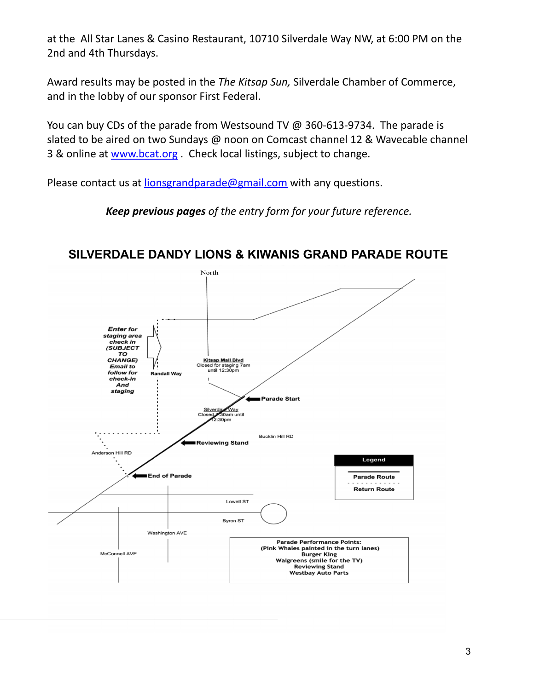at the All Star Lanes & Casino Restaurant, 10710 Silverdale Way NW, at 6:00 PM on the 2nd and 4th Thursdays.

Award results may be posted in the *The Kitsap Sun,* Silverdale Chamber of Commerce, and in the lobby of our sponsor First Federal.

You can buy CDs of the parade from Westsound TV @ 360-613-9734. The parade is slated to be aired on two Sundays @ noon on Comcast channel 12 & Wavecable channel 3 & online at [www.bcat.org](http://www.bcat.org) . Check local listings, subject to change.

Please contact us at [lionsgrandparade@gmail.com](mailto:lionsgrandparade@gmail.com) with any questions.

*Keep previous pages of the entry form for your future reference.*



**SILVERDALE DANDY LIONS & KIWANIS GRAND PARADE ROUTE**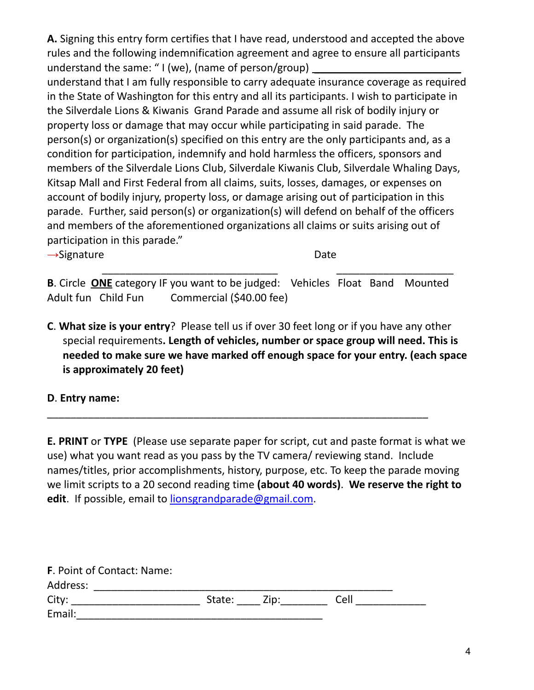**A.** Signing this entry form certifies that I have read, understood and accepted the above rules and the following indemnification agreement and agree to ensure all participants understand the same: " $I$  (we), (name of person/group)

understand that I am fully responsible to carry adequate insurance coverage as required in the State of Washington for this entry and all its participants. I wish to participate in the Silverdale Lions & Kiwanis Grand Parade and assume all risk of bodily injury or property loss or damage that may occur while participating in said parade. The person(s) or organization(s) specified on this entry are the only participants and, as a condition for participation, indemnify and hold harmless the officers, sponsors and members of the Silverdale Lions Club, Silverdale Kiwanis Club, Silverdale Whaling Days, Kitsap Mall and First Federal from all claims, suits, losses, damages, or expenses on account of bodily injury, property loss, or damage arising out of participation in this parade. Further, said person(s) or organization(s) will defend on behalf of the officers and members of the aforementioned organizations all claims or suits arising out of participation in this parade."

→Signature Date

\_\_\_\_\_\_\_\_\_\_\_\_\_\_\_\_\_\_\_\_\_\_\_\_\_\_\_\_\_\_ \_\_\_\_\_\_\_\_\_\_\_\_\_\_\_\_\_\_\_\_ **B**. Circle **ONE** category IF you want to be judged: Vehicles Float Band Mounted Adult fun Child Fun Commercial (\$40.00 fee)

**C**. **What size is your entry**? Please tell us if over 30 feet long or if you have any other special requirements**. Length of vehicles, number or space group will need. This is needed to make sure we have marked off enough space for your entry. (each space is approximately 20 feet)**

**D**. **Entry name:**

**E. PRINT** or **TYPE** (Please use separate paper for script, cut and paste format is what we use) what you want read as you pass by the TV camera/ reviewing stand. Include names/titles, prior accomplishments, history, purpose, etc. To keep the parade moving we limit scripts to a 20 second reading time **(about 40 words)**. **We reserve the right to edit**. If possible, email to [lionsgrandparade@gmail.com](mailto:lionsgrandparade@gmail.com).

\_\_\_\_\_\_\_\_\_\_\_\_\_\_\_\_\_\_\_\_\_\_\_\_\_\_\_\_\_\_\_\_\_\_\_\_\_\_\_\_\_\_\_\_\_\_\_\_\_\_\_\_\_\_\_\_\_\_\_\_\_\_\_\_\_

| <b>F.</b> Point of Contact: Name: |        |      |      |
|-----------------------------------|--------|------|------|
| Address:                          |        |      |      |
| City:                             | State: | Zip: | Cell |
| Email:                            |        |      |      |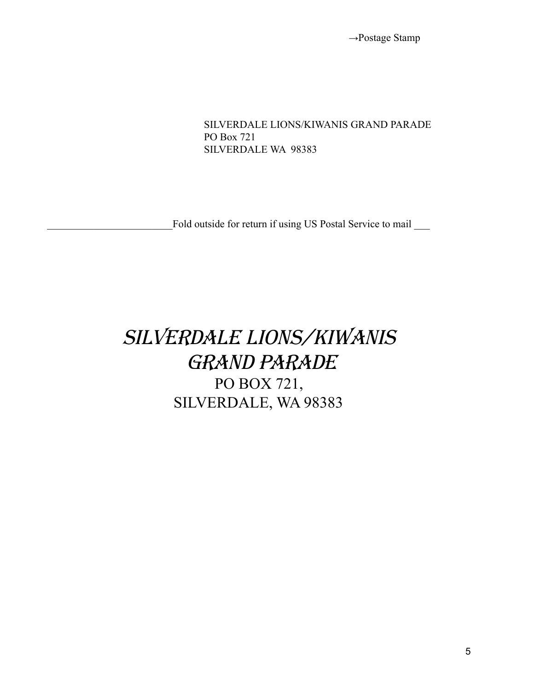**→**Postage Stamp

SILVERDALE LIONS/KIWANIS GRAND PARADE PO Box 721 SILVERDALE WA 98383

Fold outside for return if using US Postal Service to mail

## SILVERDALE LIONS/KIWANIS grand parade PO BOX 721, SILVERDALE, WA 98383